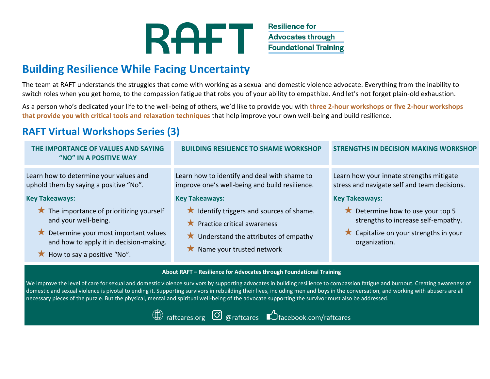

**Resilience for Advocates through Foundational Training** 

## **Building Resilience While Facing Uncertainty**

The team at RAFT understands the struggles that come with working as a sexual and domestic violence advocate. Everything from the inability to switch roles when you get home, to the compassion fatigue that robs you of your ability to empathize. And let's not forget plain-old exhaustion.

As a person who's dedicated your life to the well-being of others, we'd like to provide you with **three 2-hour workshops or five 2-hour workshops that provide you with critical tools and relaxation techniques** that help improve your own well-being and build resilience.

## **RAFT Virtual Workshops Series (3)**

| THE IMPORTANCE OF VALUES AND SAYING<br>"NO" IN A POSITIVE WAY                                                                                                                                                                                                                                  | <b>BUILDING RESILIENCE TO SHAME WORKSHOP</b>                                                                                                                                                                                                                                     | STRENGTHS IN DECISION MAKING WORKSHOP                                                                                                                                                                                                                                |  |
|------------------------------------------------------------------------------------------------------------------------------------------------------------------------------------------------------------------------------------------------------------------------------------------------|----------------------------------------------------------------------------------------------------------------------------------------------------------------------------------------------------------------------------------------------------------------------------------|----------------------------------------------------------------------------------------------------------------------------------------------------------------------------------------------------------------------------------------------------------------------|--|
| Learn how to determine your values and<br>uphold them by saying a positive "No".<br><b>Key Takeaways:</b><br>The importance of prioritizing yourself<br>and your well-being.<br>Determine your most important values<br>and how to apply it in decision-making.<br>How to say a positive "No". | Learn how to identify and deal with shame to<br>improve one's well-being and build resilience.<br><b>Key Takeaways:</b><br>★ Identify triggers and sources of shame.<br>Practice critical awareness<br>Understand the attributes of empathy<br>$\star$ Name your trusted network | Learn how your innate strengths mitigate<br>stress and navigate self and team decisions.<br><b>Key Takeaways:</b><br>$\star$ Determine how to use your top 5<br>strengths to increase self-empathy.<br>$\star$ Capitalize on your strengths in your<br>organization. |  |
| About RAFT - Resilience for Advocates through Foundational Training<br>We improve the level of care for sexual and domestic violence survivors by supporting advocates in building resilience to compassion fatigue and burnout. Creating awareness of                                         |                                                                                                                                                                                                                                                                                  |                                                                                                                                                                                                                                                                      |  |

We improve the level of care for sexual and domestic violence survivors by supporting advocates in building resilience to compassion fatigue and burnout. Creating awareness of domestic and sexual violence is pivotal to ending it. Supporting survivors in rebuilding their lives, including men and boys in the conversation, and working with abusers are all necessary pieces of the puzzle. But the physical, mental and spiritual well-being of the advocate supporting the survivor must also be addressed.